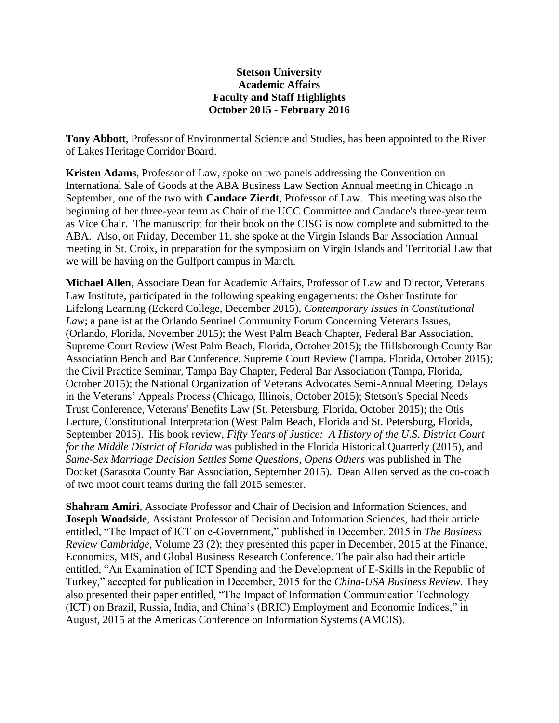## **Stetson University Academic Affairs Faculty and Staff Highlights October 2015 - February 2016**

**Tony Abbott**, Professor of Environmental Science and Studies, has been appointed to the River of Lakes Heritage Corridor Board.

**Kristen Adams**, Professor of Law, spoke on two panels addressing the Convention on International Sale of Goods at the ABA Business Law Section Annual meeting in Chicago in September, one of the two with **Candace Zierdt**, Professor of Law. This meeting was also the beginning of her three-year term as Chair of the UCC Committee and Candace's three-year term as Vice Chair. The manuscript for their book on the CISG is now complete and submitted to the ABA. Also, on Friday, December 11, she spoke at the Virgin Islands Bar Association Annual meeting in St. Croix, in preparation for the symposium on Virgin Islands and Territorial Law that we will be having on the Gulfport campus in March.

**Michael Allen**, Associate Dean for Academic Affairs, Professor of Law and Director, Veterans Law Institute, participated in the following speaking engagements: the Osher Institute for Lifelong Learning (Eckerd College, December 2015), *Contemporary Issues in Constitutional Law*; a panelist at the Orlando Sentinel Community Forum Concerning Veterans Issues, (Orlando, Florida, November 2015); the West Palm Beach Chapter, Federal Bar Association, Supreme Court Review (West Palm Beach, Florida, October 2015); the Hillsborough County Bar Association Bench and Bar Conference, Supreme Court Review (Tampa, Florida, October 2015); the Civil Practice Seminar, Tampa Bay Chapter, Federal Bar Association (Tampa, Florida, October 2015); the National Organization of Veterans Advocates Semi-Annual Meeting, Delays in the Veterans' Appeals Process (Chicago, Illinois, October 2015); Stetson's Special Needs Trust Conference, Veterans' Benefits Law (St. Petersburg, Florida, October 2015); the Otis Lecture, Constitutional Interpretation (West Palm Beach, Florida and St. Petersburg, Florida, September 2015). His book review, *Fifty Years of Justice: A History of the U.S. District Court for the Middle District of Florida* was published in the Florida Historical Quarterly (2015), and *Same-Sex Marriage Decision Settles Some Questions, Opens Others* was published in The Docket (Sarasota County Bar Association, September 2015). Dean Allen served as the co-coach of two moot court teams during the fall 2015 semester.

**Shahram Amiri**, Associate Professor and Chair of Decision and Information Sciences, and **Joseph Woodside**, Assistant Professor of Decision and Information Sciences, had their article entitled, "The Impact of ICT on e-Government," published in December, 2015 in *The Business Review Cambridge*, Volume 23 (2); they presented this paper in December, 2015 at the Finance, Economics, MIS, and Global Business Research Conference. The pair also had their article entitled, "An Examination of ICT Spending and the Development of E-Skills in the Republic of Turkey," accepted for publication in December, 2015 for the *China-USA Business Review*. They also presented their paper entitled, "The Impact of Information Communication Technology (ICT) on Brazil, Russia, India, and China's (BRIC) Employment and Economic Indices," in August, 2015 at the Americas Conference on Information Systems (AMCIS).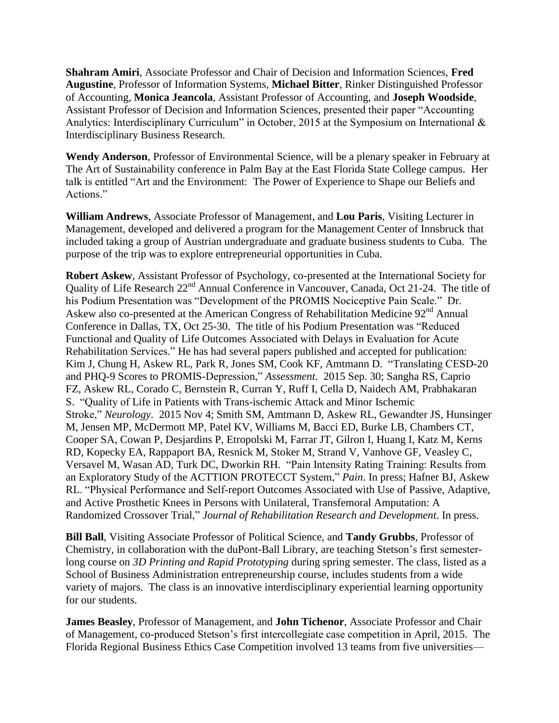**Shahram Amiri**, Associate Professor and Chair of Decision and Information Sciences, **Fred Augustine**, Professor of Information Systems, **Michael Bitter**, Rinker Distinguished Professor of Accounting, **Monica Jeancola**, Assistant Professor of Accounting, and **Joseph Woodside**, Assistant Professor of Decision and Information Sciences, presented their paper "Accounting Analytics: Interdisciplinary Curriculum" in October, 2015 at the Symposium on International & Interdisciplinary Business Research.

**Wendy Anderson**, Professor of Environmental Science, will be a plenary speaker in February at The Art of Sustainability conference in Palm Bay at the East Florida State College campus. Her talk is entitled "Art and the Environment: The Power of Experience to Shape our Beliefs and Actions."

**William Andrews**, Associate Professor of Management, and **Lou Paris**, Visiting Lecturer in Management, developed and delivered a program for the Management Center of Innsbruck that included taking a group of Austrian undergraduate and graduate business students to Cuba. The purpose of the trip was to explore entrepreneurial opportunities in Cuba.

**Robert Askew**, Assistant Professor of Psychology, co-presented at the International Society for Quality of Life Research 22<sup>nd</sup> Annual Conference in Vancouver, Canada, Oct 21-24. The title of his Podium Presentation was "Development of the PROMIS Nociceptive Pain Scale." Dr. Askew also co-presented at the American Congress of Rehabilitation Medicine 92<sup>nd</sup> Annual Conference in Dallas, TX, Oct 25-30. The title of his Podium Presentation was "Reduced Functional and Quality of Life Outcomes Associated with Delays in Evaluation for Acute Rehabilitation Services." He has had several papers published and accepted for publication: Kim J, Chung H, Askew RL, Park R, Jones SM, Cook KF, Amtmann D. "Translating CESD-20 and PHQ-9 Scores to PROMIS-Depression," *Assessment*. 2015 Sep. 30; Sangha RS, Caprio FZ, Askew RL, Corado C, Bernstein R, Curran Y, Ruff I, Cella D, Naidech AM, Prabhakaran S. "Quality of Life in Patients with Trans-ischemic Attack and Minor Ischemic Stroke," *Neurology*. 2015 Nov 4; Smith SM, Amtmann D, Askew RL, Gewandter JS, Hunsinger M, Jensen MP, McDermott MP, Patel KV, Williams M, Bacci ED, Burke LB, Chambers CT, Cooper SA, Cowan P, Desjardins P, Etropolski M, Farrar JT, Gilron I, Huang I, Katz M, Kerns RD, Kopecky EA, Rappaport BA, Resnick M, Stoker M, Strand V, Vanhove GF, Veasley C, Versavel M, Wasan AD, Turk DC, Dworkin RH. "Pain Intensity Rating Training: Results from an Exploratory Study of the ACTTION PROTECCT System," *Pain*. In press; Hafner BJ, Askew RL. "Physical Performance and Self-report Outcomes Associated with Use of Passive, Adaptive, and Active Prosthetic Knees in Persons with Unilateral, Transfemoral Amputation: A Randomized Crossover Trial," *Journal of Rehabilitation Research and Development*. In press.

**Bill Ball**, Visiting Associate Professor of Political Science, and **Tandy Grubbs**, Professor of Chemistry, in collaboration with the duPont-Ball Library, are teaching Stetson's first semesterlong course on *3D Printing and Rapid Prototyping* during spring semester. The class, listed as a School of Business Administration entrepreneurship course, includes students from a wide variety of majors. The class is an innovative interdisciplinary experiential learning opportunity for our students.

**James Beasley**, Professor of Management, and **John Tichenor**, Associate Professor and Chair of Management, co-produced Stetson's first intercollegiate case competition in April, 2015. The Florida Regional Business Ethics Case Competition involved 13 teams from five universities—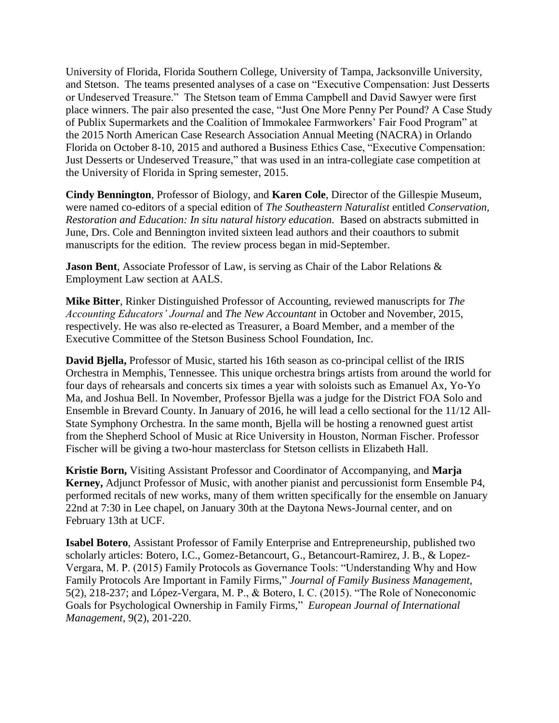University of Florida, Florida Southern College, University of Tampa, Jacksonville University, and Stetson. The teams presented analyses of a case on "Executive Compensation: Just Desserts or Undeserved Treasure." The Stetson team of Emma Campbell and David Sawyer were first place winners. The pair also presented the case, "Just One More Penny Per Pound? A Case Study of Publix Supermarkets and the Coalition of Immokalee Farmworkers' Fair Food Program" at the 2015 North American Case Research Association Annual Meeting (NACRA) in Orlando Florida on October 8-10, 2015 and authored a Business Ethics Case, "Executive Compensation: Just Desserts or Undeserved Treasure," that was used in an intra-collegiate case competition at the University of Florida in Spring semester, 2015.

**Cindy Bennington**, Professor of Biology, and **Karen Cole**, Director of the Gillespie Museum, were named co-editors of a special edition of *The Southeastern Naturalist* entitled *Conservation, Restoration and Education: In situ natural history education.* Based on abstracts submitted in June, Drs. Cole and Bennington invited sixteen lead authors and their coauthors to submit manuscripts for the edition. The review process began in mid-September.

**Jason Bent**, Associate Professor of Law, is serving as Chair of the Labor Relations & Employment Law section at AALS.

**Mike Bitter**, Rinker Distinguished Professor of Accounting, reviewed manuscripts for *The Accounting Educators' Journal* and *The New Accountant* in October and November, 2015, respectively. He was also re-elected as Treasurer, a Board Member, and a member of the Executive Committee of the Stetson Business School Foundation, Inc.

**David Bjella,** Professor of Music, started his 16th season as co-principal cellist of the IRIS Orchestra in Memphis, Tennessee. This unique orchestra brings artists from around the world for four days of rehearsals and concerts six times a year with soloists such as Emanuel Ax, Yo-Yo Ma, and Joshua Bell. In November, Professor Bjella was a judge for the District FOA Solo and Ensemble in Brevard County. In January of 2016, he will lead a cello sectional for the 11/12 All-State Symphony Orchestra. In the same month, Bjella will be hosting a renowned guest artist from the Shepherd School of Music at Rice University in Houston, Norman Fischer. Professor Fischer will be giving a two-hour masterclass for Stetson cellists in Elizabeth Hall.

**Kristie Born,** Visiting Assistant Professor and Coordinator of Accompanying, and **Marja Kerney,** Adjunct Professor of Music, with another pianist and percussionist form Ensemble P4, performed recitals of new works, many of them written specifically for the ensemble on January 22nd at 7:30 in Lee chapel, on January 30th at the Daytona News-Journal center, and on February 13th at UCF.

**Isabel Botero**, Assistant Professor of Family Enterprise and Entrepreneurship, published two scholarly articles: Botero, I.C., Gomez-Betancourt, G., Betancourt-Ramirez, J. B., & Lopez-Vergara, M. P. (2015) Family Protocols as Governance Tools: "Understanding Why and How Family Protocols Are Important in Family Firms," *Journal of Family Business Management*, 5(2), 218-237; and López-Vergara, M. P., & Botero, I. C. (2015). "The Role of Noneconomic Goals for Psychological Ownership in Family Firms," *European Journal of International Management*, 9(2), 201-220.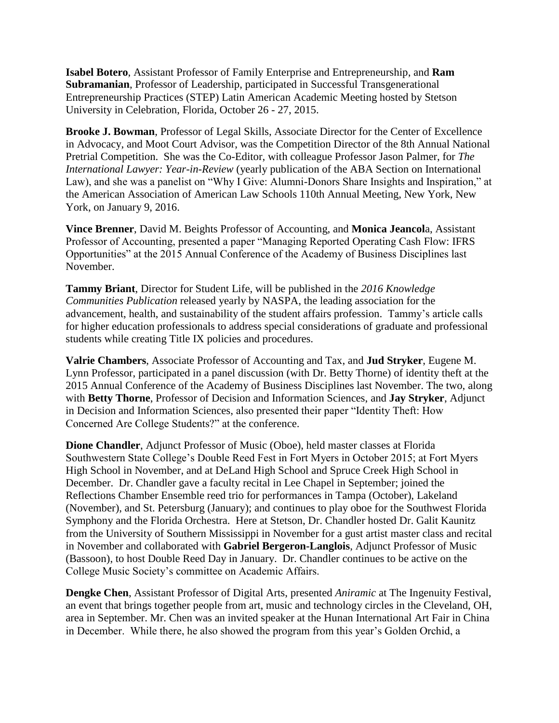**Isabel Botero**, Assistant Professor of Family Enterprise and Entrepreneurship, and **Ram Subramanian**, Professor of Leadership, participated in Successful Transgenerational Entrepreneurship Practices (STEP) Latin American Academic Meeting hosted by Stetson University in Celebration, Florida, October 26 - 27, 2015.

**Brooke J. Bowman**, Professor of Legal Skills, Associate Director for the Center of Excellence in Advocacy, and Moot Court Advisor, was the Competition Director of the 8th Annual National Pretrial Competition. She was the Co-Editor, with colleague Professor Jason Palmer, for *The International Lawyer: Year-in-Review* (yearly publication of the ABA Section on International Law), and she was a panelist on "Why I Give: Alumni-Donors Share Insights and Inspiration," at the American Association of American Law Schools 110th Annual Meeting, New York, New York, on January 9, 2016.

**Vince Brenner**, David M. Beights Professor of Accounting, and **Monica Jeancol**a, Assistant Professor of Accounting, presented a paper "Managing Reported Operating Cash Flow: IFRS Opportunities" at the 2015 Annual Conference of the Academy of Business Disciplines last November.

**Tammy Briant**, Director for Student Life, will be published in the *2016 Knowledge Communities Publication* released yearly by NASPA, the leading association for the advancement, health, and sustainability of the student affairs profession. Tammy's article calls for higher education professionals to address special considerations of graduate and professional students while creating Title IX policies and procedures.

**Valrie Chambers**, Associate Professor of Accounting and Tax, and **Jud Stryker**, Eugene M. Lynn Professor, participated in a panel discussion (with Dr. Betty Thorne) of identity theft at the 2015 Annual Conference of the Academy of Business Disciplines last November. The two, along with **Betty Thorne**, Professor of Decision and Information Sciences, and **Jay Stryker**, Adjunct in Decision and Information Sciences, also presented their paper "Identity Theft: How Concerned Are College Students?" at the conference.

**Dione Chandler**, Adjunct Professor of Music (Oboe), held master classes at Florida Southwestern State College's Double Reed Fest in Fort Myers in October 2015; at Fort Myers High School in November, and at DeLand High School and Spruce Creek High School in December. Dr. Chandler gave a faculty recital in Lee Chapel in September; joined the Reflections Chamber Ensemble reed trio for performances in Tampa (October), Lakeland (November), and St. Petersburg (January); and continues to play oboe for the Southwest Florida Symphony and the Florida Orchestra. Here at Stetson, Dr. Chandler hosted Dr. Galit Kaunitz from the University of Southern Mississippi in November for a gust artist master class and recital in November and collaborated with **Gabriel Bergeron-Langlois**, Adjunct Professor of Music (Bassoon), to host Double Reed Day in January. Dr. Chandler continues to be active on the College Music Society's committee on Academic Affairs.

**Dengke Chen**, Assistant Professor of Digital Arts, presented *Aniramic* at The Ingenuity Festival, an event that brings together people from art, music and technology circles in the Cleveland, OH, area in September. Mr. Chen was an invited speaker at the Hunan International Art Fair in China in December. While there, he also showed the program from this year's Golden Orchid, a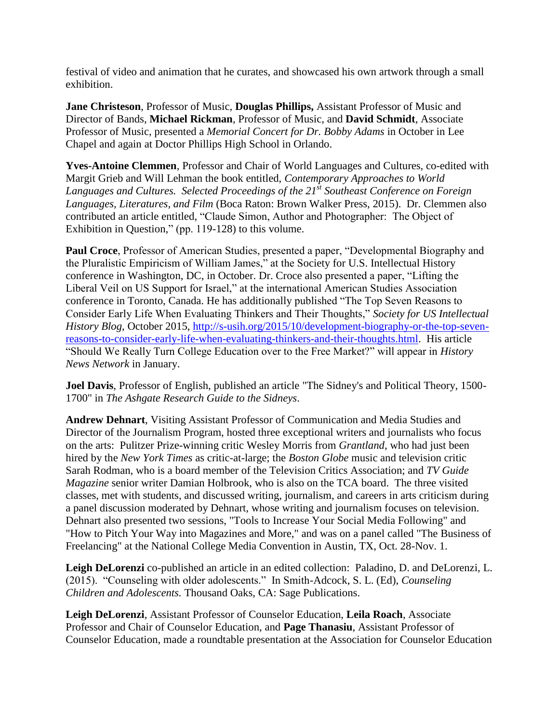festival of video and animation that he curates, and showcased his own artwork through a small exhibition.

**Jane Christeson**, Professor of Music, **Douglas Phillips,** Assistant Professor of Music and Director of Bands, **Michael Rickman**, Professor of Music, and **David Schmidt**, Associate Professor of Music, presented a *Memorial Concert for Dr. Bobby Adams* in October in Lee Chapel and again at Doctor Phillips High School in Orlando.

**Yves-Antoine Clemmen**, Professor and Chair of World Languages and Cultures, co-edited with Margit Grieb and Will Lehman the book entitled, *Contemporary Approaches to World Languages and Cultures. Selected Proceedings of the 21st Southeast Conference on Foreign Languages, Literatures, and Film* (Boca Raton: Brown Walker Press, 2015). Dr. Clemmen also contributed an article entitled, "Claude Simon, Author and Photographer: The Object of Exhibition in Question," (pp. 119-128) to this volume.

**Paul Croce**, Professor of American Studies, presented a paper, "Developmental Biography and the Pluralistic Empiricism of William James," at the Society for U.S. Intellectual History conference in Washington, DC, in October. Dr. Croce also presented a paper, "Lifting the Liberal Veil on US Support for Israel," at the international American Studies Association conference in Toronto, Canada. He has additionally published "The Top Seven Reasons to Consider Early Life When Evaluating Thinkers and Their Thoughts," *Society for US Intellectual History Blog*, October 2015, [http://s-usih.org/2015/10/development-biography-or-the-top-seven](https://email.ad.stetson.edu/owa/redir.aspx?C=wqC2B_2kwkiLB9CGSEieIvnOC0vfHdMIGUjrB1yL-XU8ztKuTmyJfB1M4Nb0UAwVQ7b9nN9SJec.&URL=http%3a%2f%2fs-usih.org%2f2015%2f10%2fdevelopment-biography-or-the-top-seven-reasons-to-consider-early-life-when-evaluating-thinkers-and-their-thoughts.html)[reasons-to-consider-early-life-when-evaluating-thinkers-and-their-thoughts.html.](https://email.ad.stetson.edu/owa/redir.aspx?C=wqC2B_2kwkiLB9CGSEieIvnOC0vfHdMIGUjrB1yL-XU8ztKuTmyJfB1M4Nb0UAwVQ7b9nN9SJec.&URL=http%3a%2f%2fs-usih.org%2f2015%2f10%2fdevelopment-biography-or-the-top-seven-reasons-to-consider-early-life-when-evaluating-thinkers-and-their-thoughts.html) His article "Should We Really Turn College Education over to the Free Market?" will appear in *History News Network* in January.

**Joel Davis**, Professor of English, published an article "The Sidney's and Political Theory, 1500- 1700" in *The Ashgate Research Guide to the Sidneys*.

**Andrew Dehnart**, Visiting Assistant Professor of Communication and Media Studies and Director of the Journalism Program, hosted three exceptional writers and journalists who focus on the arts: Pulitzer Prize-winning critic Wesley Morris from *Grantland*, who had just been hired by the *New York Times* as critic-at-large; the *Boston Globe* music and television critic Sarah Rodman, who is a board member of the Television Critics Association; and *TV Guide Magazine* senior writer Damian Holbrook, who is also on the TCA board. The three visited classes, met with students, and discussed writing, journalism, and careers in arts criticism during a panel discussion moderated by Dehnart, whose writing and journalism focuses on television. Dehnart also presented two sessions, "Tools to Increase Your Social Media Following" and "How to Pitch Your Way into Magazines and More," and was on a panel called "The Business of Freelancing" at the National College Media Convention in Austin, TX, Oct. 28-Nov. 1.

**Leigh DeLorenzi** co-published an article in an edited collection: Paladino, D. and DeLorenzi, L. (2015). "Counseling with older adolescents." In Smith-Adcock, S. L. (Ed), *Counseling Children and Adolescents.* Thousand Oaks, CA: Sage Publications.

**Leigh DeLorenzi**, Assistant Professor of Counselor Education, **Leila Roach**, Associate Professor and Chair of Counselor Education, and **Page Thanasiu**, Assistant Professor of Counselor Education, made a roundtable presentation at the Association for Counselor Education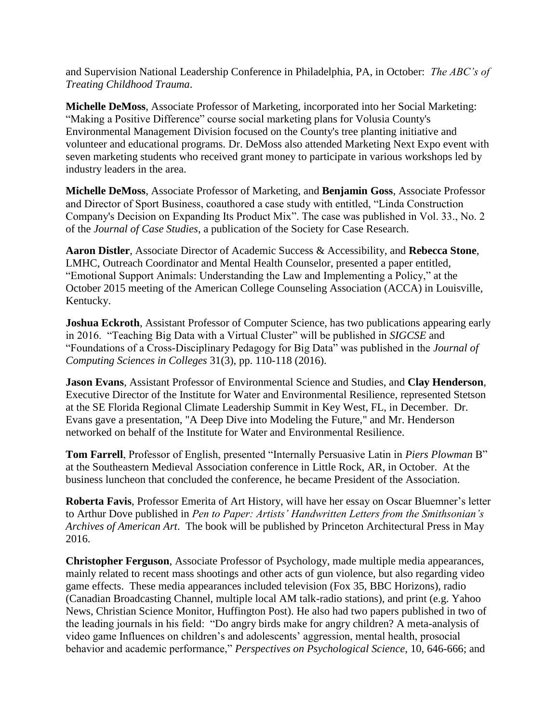and Supervision National Leadership Conference in Philadelphia, PA, in October: *The ABC's of Treating Childhood Trauma*.

**Michelle DeMoss**, Associate Professor of Marketing, incorporated into her Social Marketing: "Making a Positive Difference" course social marketing plans for Volusia County's Environmental Management Division focused on the County's tree planting initiative and volunteer and educational programs. Dr. DeMoss also attended Marketing Next Expo event with seven marketing students who received grant money to participate in various workshops led by industry leaders in the area.

**Michelle DeMoss**, Associate Professor of Marketing, and **Benjamin Goss**, Associate Professor and Director of Sport Business, coauthored a case study with entitled, "Linda Construction Company's Decision on Expanding Its Product Mix". The case was published in Vol. 33., No. 2 of the *Journal of Case Studies*, a publication of the Society for Case Research.

**Aaron Distler**, Associate Director of Academic Success & Accessibility, and **Rebecca Stone**, LMHC, Outreach Coordinator and Mental Health Counselor, presented a paper entitled, "Emotional Support Animals: Understanding the Law and Implementing a Policy," at the October 2015 meeting of the American College Counseling Association (ACCA) in Louisville, Kentucky.

**Joshua Eckroth**, Assistant Professor of Computer Science, has two publications appearing early in 2016. "Teaching Big Data with a Virtual Cluster" will be published in *SIGCSE* and "Foundations of a Cross-Disciplinary Pedagogy for Big Data" was published in the *Journal of Computing Sciences in Colleges* 31(3), pp. 110-118 (2016).

**Jason Evans**, Assistant Professor of Environmental Science and Studies, and **Clay Henderson**, Executive Director of the Institute for Water and Environmental Resilience, represented Stetson at the SE Florida Regional Climate Leadership Summit in Key West, FL, in December. Dr. Evans gave a presentation, "A Deep Dive into Modeling the Future," and Mr. Henderson networked on behalf of the Institute for Water and Environmental Resilience.

**Tom Farrell**, Professor of English, presented "Internally Persuasive Latin in *Piers Plowman* B" at the Southeastern Medieval Association conference in Little Rock, AR, in October. At the business luncheon that concluded the conference, he became President of the Association.

**Roberta Favis**, Professor Emerita of Art History, will have her essay on Oscar Bluemner's letter to Arthur Dove published in *Pen to Paper: Artists' Handwritten Letters from the Smithsonian's Archives of American Art*. The book will be published by Princeton Architectural Press in May 2016.

**Christopher Ferguson**, Associate Professor of Psychology, made multiple media appearances, mainly related to recent mass shootings and other acts of gun violence, but also regarding video game effects. These media appearances included television (Fox 35, BBC Horizons), radio (Canadian Broadcasting Channel, multiple local AM talk-radio stations), and print (e.g. Yahoo News, Christian Science Monitor, Huffington Post). He also had two papers published in two of the leading journals in his field: "Do angry birds make for angry children? A meta-analysis of video game Influences on children's and adolescents' aggression, mental health, prosocial behavior and academic performance," *Perspectives on Psychological Science,* 10, 646-666; and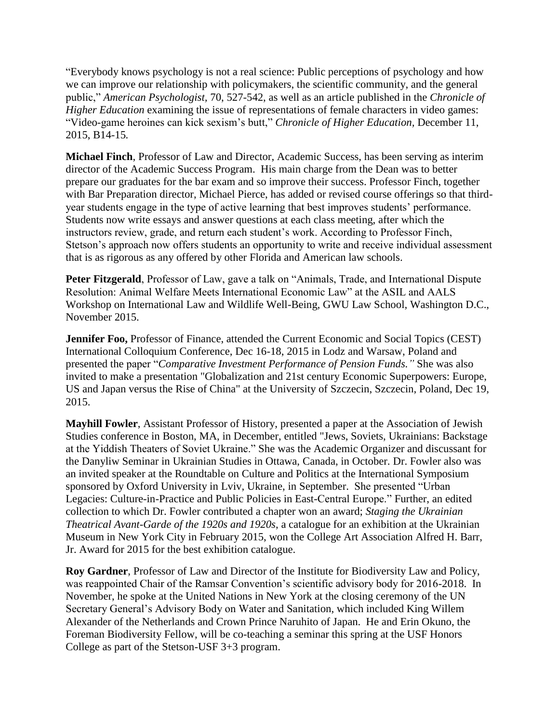"Everybody knows psychology is not a real science: Public perceptions of psychology and how we can improve our relationship with policymakers, the scientific community, and the general public," *American Psychologist,* 70, 527-542, as well as an article published in the *Chronicle of Higher Education* examining the issue of representations of female characters in video games: "Video-game heroines can kick sexism's butt," *Chronicle of Higher Education,* December 11, 2015, B14-15*.*

**Michael Finch**, Professor of Law and Director, Academic Success, has been serving as interim director of the Academic Success Program. His main charge from the Dean was to better prepare our graduates for the bar exam and so improve their success. Professor Finch, together with Bar Preparation director, Michael Pierce, has added or revised course offerings so that thirdyear students engage in the type of active learning that best improves students' performance. Students now write essays and answer questions at each class meeting, after which the instructors review, grade, and return each student's work. According to Professor Finch, Stetson's approach now offers students an opportunity to write and receive individual assessment that is as rigorous as any offered by other Florida and American law schools.

**Peter Fitzgerald**, Professor of Law, gave a talk on "Animals, Trade, and International Dispute Resolution: Animal Welfare Meets International Economic Law" at the ASIL and AALS Workshop on International Law and Wildlife Well-Being, GWU Law School, Washington D.C., November 2015.

**Jennifer Foo,** Professor of Finance, attended the Current Economic and Social Topics (CEST) International Colloquium Conference, Dec 16-18, 2015 in Lodz and Warsaw, Poland and presented the paper "*Comparative Investment Performance of Pension Funds."* She was also invited to make a presentation "Globalization and 21st century Economic Superpowers: Europe, US and Japan versus the Rise of China" at the University of Szczecin, Szczecin, Poland, Dec 19, 2015.

**Mayhill Fowler**, Assistant Professor of History, presented a paper at the Association of Jewish Studies conference in Boston, MA, in December, entitled "Jews, Soviets, Ukrainians: Backstage at the Yiddish Theaters of Soviet Ukraine." She was the Academic Organizer and discussant for the Danyliw Seminar in Ukrainian Studies in Ottawa, Canada, in October. Dr. Fowler also was an invited speaker at the Roundtable on Culture and Politics at the International Symposium sponsored by Oxford University in Lviv, Ukraine, in September. She presented "Urban Legacies: Culture-in-Practice and Public Policies in East-Central Europe." Further, an edited collection to which Dr. Fowler contributed a chapter won an award; *Staging the Ukrainian Theatrical Avant-Garde of the 1920s and 1920s*, a catalogue for an exhibition at the Ukrainian Museum in New York City in February 2015, won the College Art Association Alfred H. Barr, Jr. Award for 2015 for the best exhibition catalogue.

**Roy Gardner**, Professor of Law and Director of the Institute for Biodiversity Law and Policy, was reappointed Chair of the Ramsar Convention's scientific advisory body for 2016-2018. In November, he spoke at the United Nations in New York at the closing ceremony of the UN Secretary General's Advisory Body on Water and Sanitation, which included King Willem Alexander of the Netherlands and Crown Prince Naruhito of Japan. He and Erin Okuno, the Foreman Biodiversity Fellow, will be co-teaching a seminar this spring at the USF Honors College as part of the Stetson-USF 3+3 program.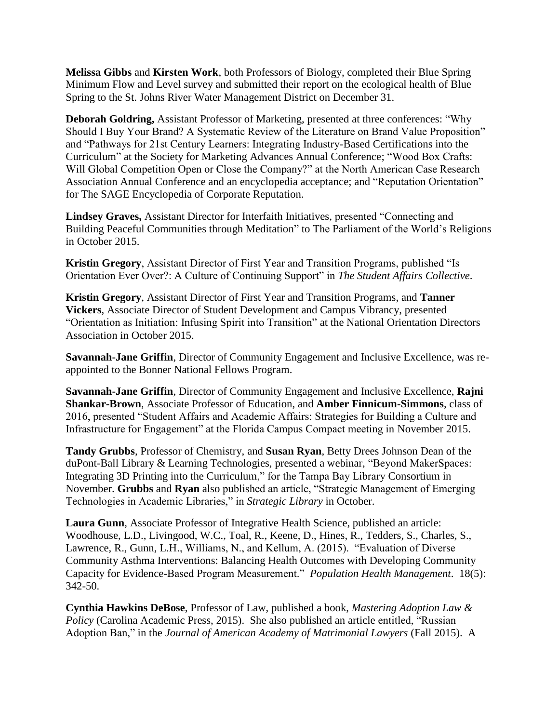**Melissa Gibbs** and **Kirsten Work**, both Professors of Biology, completed their Blue Spring Minimum Flow and Level survey and submitted their report on the ecological health of Blue Spring to the St. Johns River Water Management District on December 31.

**Deborah Goldring,** Assistant Professor of Marketing, presented at three conferences: "Why Should I Buy Your Brand? A Systematic Review of the Literature on Brand Value Proposition" and "Pathways for 21st Century Learners: Integrating Industry-Based Certifications into the Curriculum" at the Society for Marketing Advances Annual Conference; "Wood Box Crafts: Will Global Competition Open or Close the Company?" at the North American Case Research Association Annual Conference and an encyclopedia acceptance; and "Reputation Orientation" for The SAGE Encyclopedia of Corporate Reputation.

**Lindsey Graves,** Assistant Director for Interfaith Initiatives, presented "Connecting and Building Peaceful Communities through Meditation" to The Parliament of the World's Religions in October 2015.

**Kristin Gregory**, Assistant Director of First Year and Transition Programs, published "Is Orientation Ever Over?: A Culture of Continuing Support" in *The Student Affairs Collective*.

**Kristin Gregory**, Assistant Director of First Year and Transition Programs, and **Tanner Vickers**, Associate Director of Student Development and Campus Vibrancy, presented "Orientation as Initiation: Infusing Spirit into Transition" at the National Orientation Directors Association in October 2015.

**Savannah-Jane Griffin**, Director of Community Engagement and Inclusive Excellence, was reappointed to the Bonner National Fellows Program.

**Savannah-Jane Griffin**, Director of Community Engagement and Inclusive Excellence, **Rajni Shankar-Brown**, Associate Professor of Education, and **Amber Finnicum-Simmons**, class of 2016, presented "Student Affairs and Academic Affairs: Strategies for Building a Culture and Infrastructure for Engagement" at the Florida Campus Compact meeting in November 2015.

**Tandy Grubbs**, Professor of Chemistry, and **Susan Ryan**, Betty Drees Johnson Dean of the duPont-Ball Library & Learning Technologies, presented a webinar, "Beyond MakerSpaces: Integrating 3D Printing into the Curriculum," for the Tampa Bay Library Consortium in November. **Grubbs** and **Ryan** also published an article, "Strategic Management of Emerging Technologies in Academic Libraries," in *Strategic Library* in October.

**Laura Gunn**, Associate Professor of Integrative Health Science, published an article: Woodhouse, L.D., Livingood, W.C., Toal, R., Keene, D., Hines, R., Tedders, S., Charles, S., Lawrence, R., Gunn, L.H., Williams, N., and Kellum, A. (2015). "Evaluation of Diverse Community Asthma Interventions: Balancing Health Outcomes with Developing Community Capacity for Evidence-Based Program Measurement." *Population Health Management*. 18(5): 342-50.

**Cynthia Hawkins DeBose**, Professor of Law, published a book, *Mastering Adoption Law & Policy* (Carolina Academic Press, 2015). She also published an article entitled, "Russian Adoption Ban," in the *Journal of American Academy of Matrimonial Lawyers* (Fall 2015). A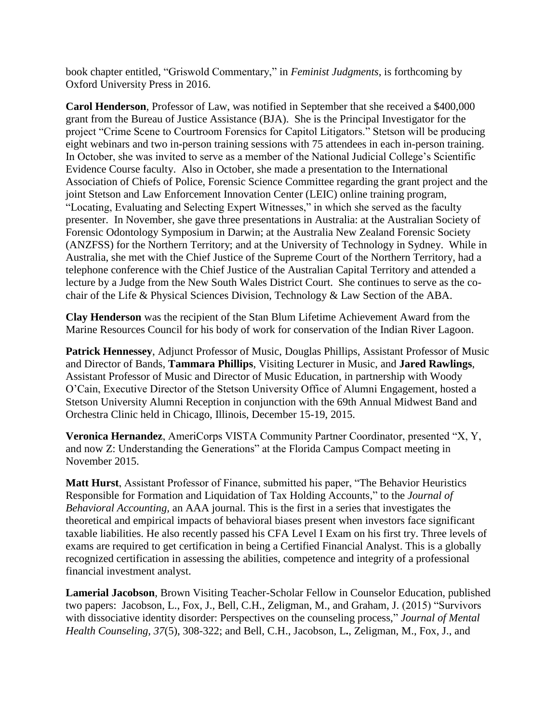book chapter entitled, "Griswold Commentary," in *Feminist Judgments*, is forthcoming by Oxford University Press in 2016.

**Carol Henderson**, Professor of Law, was notified in September that she received a \$400,000 grant from the Bureau of Justice Assistance (BJA). She is the Principal Investigator for the project "Crime Scene to Courtroom Forensics for Capitol Litigators." Stetson will be producing eight webinars and two in-person training sessions with 75 attendees in each in-person training. In October, she was invited to serve as a member of the National Judicial College's Scientific Evidence Course faculty. Also in October, she made a presentation to the International Association of Chiefs of Police, Forensic Science Committee regarding the grant project and the joint Stetson and Law Enforcement Innovation Center (LEIC) online training program, "Locating, Evaluating and Selecting Expert Witnesses," in which she served as the faculty presenter. In November, she gave three presentations in Australia: at the Australian Society of Forensic Odontology Symposium in Darwin; at the Australia New Zealand Forensic Society (ANZFSS) for the Northern Territory; and at the University of Technology in Sydney. While in Australia, she met with the Chief Justice of the Supreme Court of the Northern Territory, had a telephone conference with the Chief Justice of the Australian Capital Territory and attended a lecture by a Judge from the New South Wales District Court. She continues to serve as the cochair of the Life & Physical Sciences Division, Technology & Law Section of the ABA.

**Clay Henderson** was the recipient of the Stan Blum Lifetime Achievement Award from the Marine Resources Council for his body of work for conservation of the Indian River Lagoon.

**Patrick Hennessey**, Adjunct Professor of Music, Douglas Phillips, Assistant Professor of Music and Director of Bands, **Tammara Phillips**, Visiting Lecturer in Music, and **Jared Rawlings**, Assistant Professor of Music and Director of Music Education, in partnership with Woody O'Cain, Executive Director of the Stetson University Office of Alumni Engagement, hosted a Stetson University Alumni Reception in conjunction with the 69th Annual Midwest Band and Orchestra Clinic held in Chicago, Illinois, December 15-19, 2015.

**Veronica Hernandez**, AmeriCorps VISTA Community Partner Coordinator, presented "X, Y, and now Z: Understanding the Generations" at the Florida Campus Compact meeting in November 2015.

**Matt Hurst**, Assistant Professor of Finance, submitted his paper, "The Behavior Heuristics Responsible for Formation and Liquidation of Tax Holding Accounts," to the *Journal of Behavioral Accounting,* an AAA journal. This is the first in a series that investigates the theoretical and empirical impacts of behavioral biases present when investors face significant taxable liabilities. He also recently passed his CFA Level I Exam on his first try. Three levels of exams are required to get certification in being a Certified Financial Analyst. This is a globally recognized certification in assessing the abilities, competence and integrity of a professional financial investment analyst.

**Lamerial Jacobson**, Brown Visiting Teacher-Scholar Fellow in Counselor Education, published two papers: Jacobson, L., Fox, J., Bell, C.H., Zeligman, M., and Graham, J. (2015) "Survivors with dissociative identity disorder: Perspectives on the counseling process," *Journal of Mental Health Counseling, 37*(5), 308-322; and Bell, C.H., Jacobson, L**.**, Zeligman, M., Fox, J., and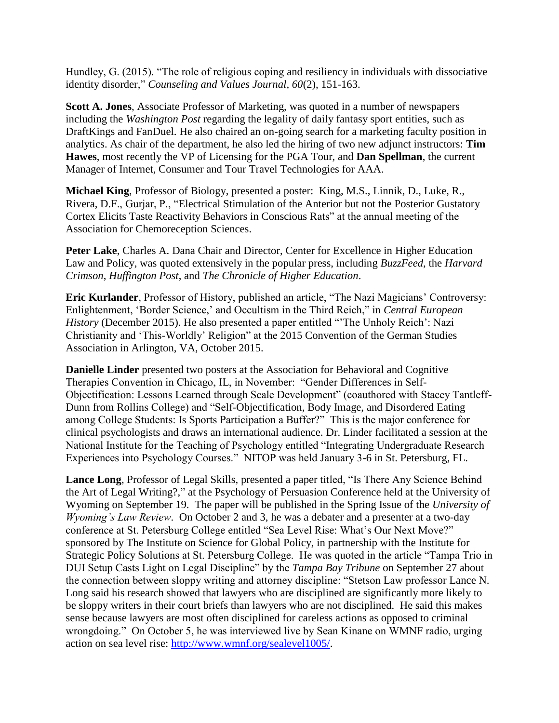Hundley, G. (2015). "The role of religious coping and resiliency in individuals with dissociative identity disorder," *Counseling and Values Journal, 60*(2), 151-163.

**Scott A. Jones**, Associate Professor of Marketing, was quoted in a number of newspapers including the *Washington Post* regarding the legality of daily fantasy sport entities, such as DraftKings and FanDuel. He also chaired an on-going search for a marketing faculty position in analytics. As chair of the department, he also led the hiring of two new adjunct instructors: **Tim Hawes**, most recently the VP of Licensing for the PGA Tour, and **Dan Spellman**, the current Manager of Internet, Consumer and Tour Travel Technologies for AAA.

**Michael King**, Professor of Biology, presented a poster: King, M.S., Linnik, D., Luke, R., Rivera, D.F., Gurjar, P., "Electrical Stimulation of the Anterior but not the Posterior Gustatory Cortex Elicits Taste Reactivity Behaviors in Conscious Rats" at the annual meeting of the Association for Chemoreception Sciences.

**Peter Lake**, Charles A. Dana Chair and Director, Center for Excellence in Higher Education Law and Policy, was quoted extensively in the popular press, including *BuzzFeed*, the *Harvard Crimson*, *Huffington Post*, and *The Chronicle of Higher Education*.

**Eric Kurlander**, Professor of History, published an article, "The Nazi Magicians' Controversy: Enlightenment, 'Border Science,' and Occultism in the Third Reich," in *Central European History* (December 2015). He also presented a paper entitled "The Unholy Reich': Nazi Christianity and 'This-Worldly' Religion" at the 2015 Convention of the German Studies Association in Arlington, VA, October 2015.

**Danielle Linder** presented two posters at the Association for Behavioral and Cognitive Therapies Convention in Chicago, IL, in November: "Gender Differences in Self-Objectification: Lessons Learned through Scale Development" (coauthored with Stacey Tantleff-Dunn from Rollins College) and "Self-Objectification, Body Image, and Disordered Eating among College Students: Is Sports Participation a Buffer?" This is the major conference for clinical psychologists and draws an international audience. Dr. Linder facilitated a session at the National Institute for the Teaching of Psychology entitled "Integrating Undergraduate Research Experiences into Psychology Courses." NITOP was held January 3-6 in St. Petersburg, FL.

**Lance Long**, Professor of Legal Skills, presented a paper titled, "Is There Any Science Behind the Art of Legal Writing?," at the Psychology of Persuasion Conference held at the University of Wyoming on September 19. The paper will be published in the Spring Issue of the *University of Wyoming's Law Review*. On October 2 and 3, he was a debater and a presenter at a two-day conference at St. Petersburg College entitled "Sea Level Rise: What's Our Next Move?" sponsored by The Institute on Science for Global Policy, in partnership with the Institute for Strategic Policy Solutions at St. Petersburg College. He was quoted in the article "Tampa Trio in DUI Setup Casts Light on Legal Discipline" by the *Tampa Bay Tribune* on September 27 about the connection between sloppy writing and attorney discipline: "Stetson Law professor Lance N. Long said his research showed that lawyers who are disciplined are significantly more likely to be sloppy writers in their court briefs than lawyers who are not disciplined. He said this makes sense because lawyers are most often disciplined for careless actions as opposed to criminal wrongdoing." On October 5, he was interviewed live by Sean Kinane on WMNF radio, urging action on sea level rise: [http://www.wmnf.org/sealevel1005/.](http://www.wmnf.org/sealevel1005/)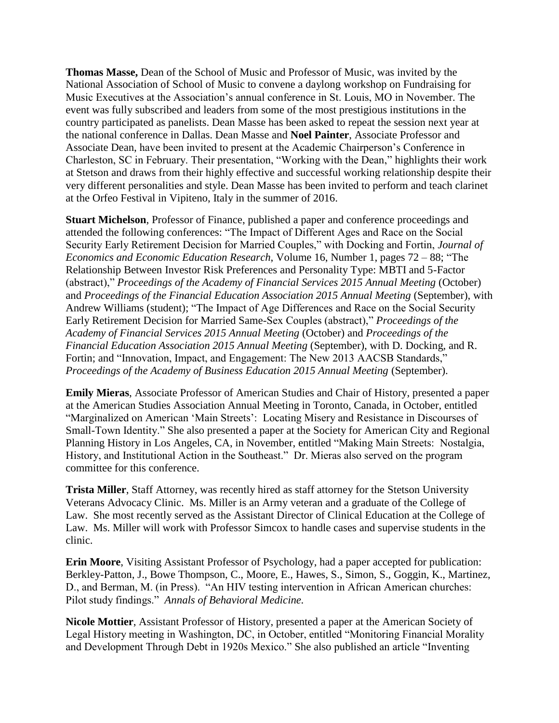**Thomas Masse,** Dean of the School of Music and Professor of Music, was invited by the National Association of School of Music to convene a daylong workshop on Fundraising for Music Executives at the Association's annual conference in St. Louis, MO in November. The event was fully subscribed and leaders from some of the most prestigious institutions in the country participated as panelists. Dean Masse has been asked to repeat the session next year at the national conference in Dallas. Dean Masse and **Noel Painter**, Associate Professor and Associate Dean, have been invited to present at the Academic Chairperson's Conference in Charleston, SC in February. Their presentation, "Working with the Dean," highlights their work at Stetson and draws from their highly effective and successful working relationship despite their very different personalities and style. Dean Masse has been invited to perform and teach clarinet at the Orfeo Festival in Vipiteno, Italy in the summer of 2016.

**Stuart Michelson**, Professor of Finance, published a paper and conference proceedings and attended the following conferences: "The Impact of Different Ages and Race on the Social Security Early Retirement Decision for Married Couples," with Docking and Fortin, *Journal of Economics and Economic Education Research*, Volume 16, Number 1, pages 72 – 88; "The Relationship Between Investor Risk Preferences and Personality Type: MBTI and 5-Factor (abstract)," *Proceedings of the Academy of Financial Services 2015 Annual Meeting* (October) and *Proceedings of the Financial Education Association 2015 Annual Meeting* (September), with Andrew Williams (student); "The Impact of Age Differences and Race on the Social Security Early Retirement Decision for Married Same-Sex Couples (abstract)," *Proceedings of the Academy of Financial Services 2015 Annual Meeting* (October) and *Proceedings of the Financial Education Association 2015 Annual Meeting* (September), with D. Docking, and R. Fortin; and "Innovation, Impact, and Engagement: The New 2013 AACSB Standards," *Proceedings of the Academy of Business Education 2015 Annual Meeting* (September).

**Emily Mieras**, Associate Professor of American Studies and Chair of History, presented a paper at the American Studies Association Annual Meeting in Toronto, Canada, in October, entitled "Marginalized on American 'Main Streets': Locating Misery and Resistance in Discourses of Small-Town Identity." She also presented a paper at the Society for American City and Regional Planning History in Los Angeles, CA, in November, entitled "Making Main Streets: Nostalgia, History, and Institutional Action in the Southeast." Dr. Mieras also served on the program committee for this conference.

**Trista Miller**, Staff Attorney, was recently hired as staff attorney for the Stetson University Veterans Advocacy Clinic. Ms. Miller is an Army veteran and a graduate of the College of Law. She most recently served as the Assistant Director of Clinical Education at the College of Law. Ms. Miller will work with Professor Simcox to handle cases and supervise students in the clinic.

**Erin Moore**, Visiting Assistant Professor of Psychology, had a paper accepted for publication: Berkley-Patton, J., Bowe Thompson, C., Moore, E., Hawes, S., Simon, S., Goggin, K., Martinez, D., and Berman, M. (in Press). "An HIV testing intervention in African American churches: Pilot study findings." *Annals of Behavioral Medicine.*

**Nicole Mottier**, Assistant Professor of History, presented a paper at the American Society of Legal History meeting in Washington, DC, in October, entitled "Monitoring Financial Morality and Development Through Debt in 1920s Mexico." She also published an article "Inventing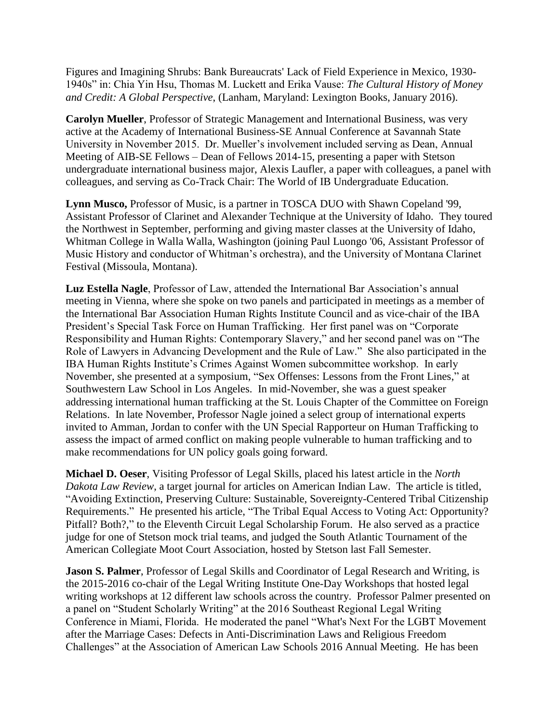Figures and Imagining Shrubs: Bank Bureaucrats' Lack of Field Experience in Mexico, 1930- 1940s" in: Chia Yin Hsu, Thomas M. Luckett and Erika Vause: *The Cultural History of Money and Credit: A Global Perspective*, (Lanham, Maryland: Lexington Books, January 2016).

**Carolyn Mueller**, Professor of Strategic Management and International Business, was very active at the Academy of International Business-SE Annual Conference at Savannah State University in November 2015. Dr. Mueller's involvement included serving as Dean, Annual Meeting of AIB-SE Fellows – Dean of Fellows 2014-15, presenting a paper with Stetson undergraduate international business major, Alexis Laufler, a paper with colleagues, a panel with colleagues, and serving as Co-Track Chair: The World of IB Undergraduate Education.

**Lynn Musco,** Professor of Music, is a partner in TOSCA DUO with Shawn Copeland '99, Assistant Professor of Clarinet and Alexander Technique at the University of Idaho. They toured the Northwest in September, performing and giving master classes at the University of Idaho, Whitman College in Walla Walla, Washington (joining Paul Luongo '06, Assistant Professor of Music History and conductor of Whitman's orchestra), and the University of Montana Clarinet Festival (Missoula, Montana).

**Luz Estella Nagle**, Professor of Law, attended the International Bar Association's annual meeting in Vienna, where she spoke on two panels and participated in meetings as a member of the International Bar Association Human Rights Institute Council and as vice-chair of the IBA President's Special Task Force on Human Trafficking. Her first panel was on "Corporate Responsibility and Human Rights: Contemporary Slavery," and her second panel was on "The Role of Lawyers in Advancing Development and the Rule of Law." She also participated in the IBA Human Rights Institute's Crimes Against Women subcommittee workshop. In early November, she presented at a symposium, "Sex Offenses: Lessons from the Front Lines," at Southwestern Law School in Los Angeles. In mid-November, she was a guest speaker addressing international human trafficking at the St. Louis Chapter of the Committee on Foreign Relations. In late November, Professor Nagle joined a select group of international experts invited to Amman, Jordan to confer with the UN Special Rapporteur on Human Trafficking to assess the impact of armed conflict on making people vulnerable to human trafficking and to make recommendations for UN policy goals going forward.

**Michael D. Oeser**, Visiting Professor of Legal Skills, placed his latest article in the *North Dakota Law Review*, a target journal for articles on American Indian Law. The article is titled, "Avoiding Extinction, Preserving Culture: Sustainable, Sovereignty-Centered Tribal Citizenship Requirements." He presented his article, "The Tribal Equal Access to Voting Act: Opportunity? Pitfall? Both?," to the Eleventh Circuit Legal Scholarship Forum. He also served as a practice judge for one of Stetson mock trial teams, and judged the South Atlantic Tournament of the American Collegiate Moot Court Association, hosted by Stetson last Fall Semester.

**Jason S. Palmer**, Professor of Legal Skills and Coordinator of Legal Research and Writing, is the 2015-2016 co-chair of the Legal Writing Institute One-Day Workshops that hosted legal writing workshops at 12 different law schools across the country. Professor Palmer presented on a panel on "Student Scholarly Writing" at the 2016 Southeast Regional Legal Writing Conference in Miami, Florida. He moderated the panel "What's Next For the LGBT Movement after the Marriage Cases: Defects in Anti-Discrimination Laws and Religious Freedom Challenges" at the Association of American Law Schools 2016 Annual Meeting. He has been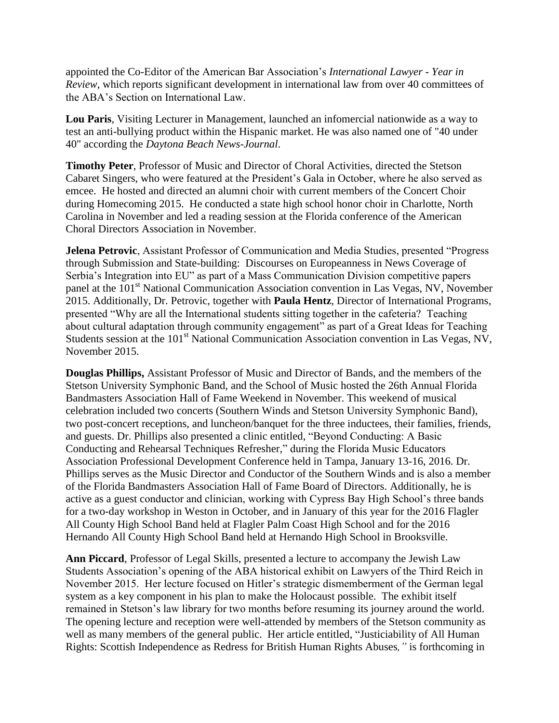appointed the Co-Editor of the American Bar Association's *International Lawyer - Year in Review*, which reports significant development in international law from over 40 committees of the ABA's Section on International Law.

**Lou Paris**, Visiting Lecturer in Management, launched an infomercial nationwide as a way to test an anti-bullying product within the Hispanic market. He was also named one of "40 under 40" according the *Daytona Beach News-Journal*.

**Timothy Peter**, Professor of Music and Director of Choral Activities, directed the Stetson Cabaret Singers, who were featured at the President's Gala in October, where he also served as emcee. He hosted and directed an alumni choir with current members of the Concert Choir during Homecoming 2015. He conducted a state high school honor choir in Charlotte, North Carolina in November and led a reading session at the Florida conference of the American Choral Directors Association in November.

**Jelena Petrovic**, Assistant Professor of Communication and Media Studies, presented "Progress through Submission and State-building: Discourses on Europeanness in News Coverage of Serbia's Integration into EU" as part of a Mass Communication Division competitive papers panel at the 101<sup>st</sup> National Communication Association convention in Las Vegas, NV, November 2015. Additionally, Dr. Petrovic, together with **Paula Hentz**, Director of International Programs, presented "Why are all the International students sitting together in the cafeteria? Teaching about cultural adaptation through community engagement" as part of a Great Ideas for Teaching Students session at the 101<sup>st</sup> National Communication Association convention in Las Vegas, NV, November 2015.

**Douglas Phillips,** Assistant Professor of Music and Director of Bands, and the members of the Stetson University Symphonic Band, and the School of Music hosted the 26th Annual Florida Bandmasters Association Hall of Fame Weekend in November. This weekend of musical celebration included two concerts (Southern Winds and Stetson University Symphonic Band), two post-concert receptions, and luncheon/banquet for the three inductees, their families, friends, and guests. Dr. Phillips also presented a clinic entitled, "Beyond Conducting: A Basic Conducting and Rehearsal Techniques Refresher," during the Florida Music Educators Association Professional Development Conference held in Tampa, January 13-16, 2016. Dr. Phillips serves as the Music Director and Conductor of the Southern Winds and is also a member of the Florida Bandmasters Association Hall of Fame Board of Directors. Additionally, he is active as a guest conductor and clinician, working with Cypress Bay High School's three bands for a two-day workshop in Weston in October, and in January of this year for the 2016 Flagler All County High School Band held at Flagler Palm Coast High School and for the 2016 Hernando All County High School Band held at Hernando High School in Brooksville.

**Ann Piccard**, Professor of Legal Skills, presented a lecture to accompany the Jewish Law Students Association's opening of the ABA historical exhibit on Lawyers of the Third Reich in November 2015. Her lecture focused on Hitler's strategic dismemberment of the German legal system as a key component in his plan to make the Holocaust possible. The exhibit itself remained in Stetson's law library for two months before resuming its journey around the world. The opening lecture and reception were well-attended by members of the Stetson community as well as many members of the general public. Her article entitled, "Justiciability of All Human Rights: Scottish Independence as Redress for British Human Rights Abuses*,"* is forthcoming in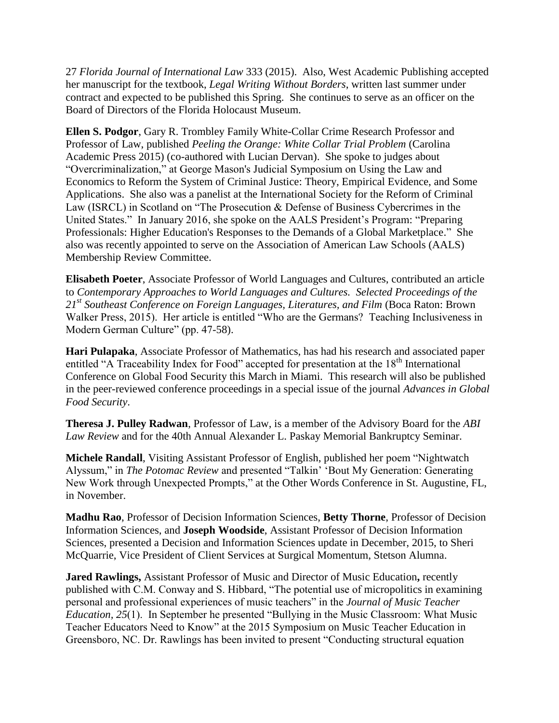27 *Florida Journal of International Law* 333 (2015). Also, West Academic Publishing accepted her manuscript for the textbook, *Legal Writing Without Borders*, written last summer under contract and expected to be published this Spring. She continues to serve as an officer on the Board of Directors of the Florida Holocaust Museum.

**Ellen S. Podgor**, Gary R. Trombley Family White-Collar Crime Research Professor and Professor of Law, published *Peeling the Orange: White Collar Trial Problem* (Carolina Academic Press 2015) (co-authored with Lucian Dervan). She spoke to judges about "Overcriminalization," at George Mason's Judicial Symposium on Using the Law and Economics to Reform the System of Criminal Justice: Theory, Empirical Evidence, and Some Applications. She also was a panelist at the International Society for the Reform of Criminal Law (ISRCL) in Scotland on "The Prosecution & Defense of Business Cybercrimes in the United States." In January 2016, she spoke on the AALS President's Program: "Preparing Professionals: Higher Education's Responses to the Demands of a Global Marketplace." She also was recently appointed to serve on the Association of American Law Schools (AALS) Membership Review Committee.

**Elisabeth Poeter**, Associate Professor of World Languages and Cultures, contributed an article to *Contemporary Approaches to World Languages and Cultures. Selected Proceedings of the 21st Southeast Conference on Foreign Languages, Literatures, and Film* (Boca Raton: Brown Walker Press, 2015). Her article is entitled "Who are the Germans? Teaching Inclusiveness in Modern German Culture" (pp. 47-58).

**Hari Pulapaka**, Associate Professor of Mathematics, has had his research and associated paper entitled "A Traceability Index for Food" accepted for presentation at the 18<sup>th</sup> International Conference on Global Food Security this March in Miami. This research will also be published in the peer-reviewed conference proceedings in a special issue of the journal *Advances in Global Food Security*.

**Theresa J. Pulley Radwan**, Professor of Law, is a member of the Advisory Board for the *ABI Law Review* and for the 40th Annual Alexander L. Paskay Memorial Bankruptcy Seminar.

**Michele Randall**, Visiting Assistant Professor of English, published her poem "Nightwatch Alyssum," in *The Potomac Review* and presented "Talkin' 'Bout My Generation: Generating New Work through Unexpected Prompts," at the Other Words Conference in St. Augustine, FL, in November.

**Madhu Rao**, Professor of Decision Information Sciences, **Betty Thorne**, Professor of Decision Information Sciences, and **Joseph Woodside**, Assistant Professor of Decision Information Sciences, presented a Decision and Information Sciences update in December, 2015, to Sheri McQuarrie, Vice President of Client Services at Surgical Momentum, Stetson Alumna.

**Jared Rawlings,** Assistant Professor of Music and Director of Music Education**,** recently published with C.M. Conway and S. Hibbard, "The potential use of micropolitics in examining personal and professional experiences of music teachers" in the *Journal of Music Teacher Education, 25*(1). In September he presented "Bullying in the Music Classroom: What Music Teacher Educators Need to Know" at the 2015 Symposium on Music Teacher Education in Greensboro, NC. Dr. Rawlings has been invited to present "Conducting structural equation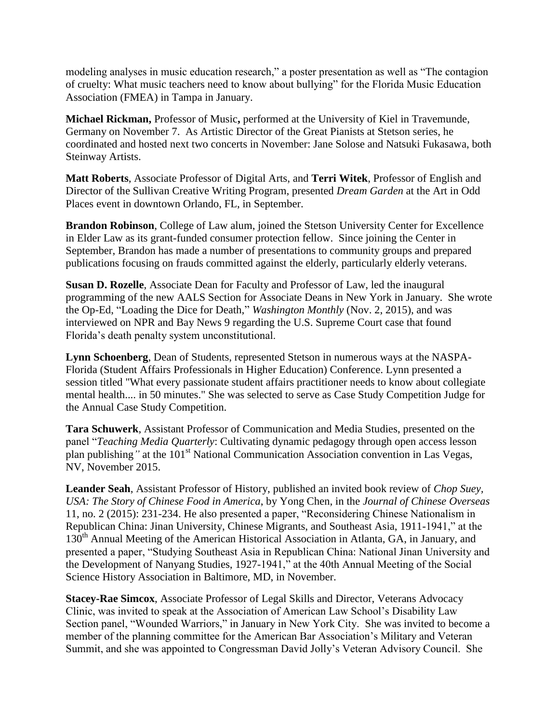modeling analyses in music education research," a poster presentation as well as "The contagion of cruelty: What music teachers need to know about bullying" for the Florida Music Education Association (FMEA) in Tampa in January.

**Michael Rickman,** Professor of Music**,** performed at the University of Kiel in Travemunde, Germany on November 7. As Artistic Director of the Great Pianists at Stetson series, he coordinated and hosted next two concerts in November: Jane Solose and Natsuki Fukasawa, both Steinway Artists.

**Matt Roberts**, Associate Professor of Digital Arts, and **Terri Witek**, Professor of English and Director of the Sullivan Creative Writing Program, presented *Dream Garden* at the Art in Odd Places event in downtown Orlando, FL, in September.

**Brandon Robinson**, College of Law alum, joined the Stetson University Center for Excellence in Elder Law as its grant-funded consumer protection fellow. Since joining the Center in September, Brandon has made a number of presentations to community groups and prepared publications focusing on frauds committed against the elderly, particularly elderly veterans.

**Susan D. Rozelle**, Associate Dean for Faculty and Professor of Law, led the inaugural programming of the new AALS Section for Associate Deans in New York in January. She wrote the Op-Ed, "Loading the Dice for Death," *Washington Monthly* (Nov. 2, 2015), and was interviewed on NPR and Bay News 9 regarding the U.S. Supreme Court case that found Florida's death penalty system unconstitutional.

**Lynn Schoenberg**, Dean of Students, represented Stetson in numerous ways at the NASPA-Florida (Student Affairs Professionals in Higher Education) Conference. Lynn presented a session titled "What every passionate student affairs practitioner needs to know about collegiate mental health.... in 50 minutes." She was selected to serve as Case Study Competition Judge for the Annual Case Study Competition.

**Tara Schuwerk**, Assistant Professor of Communication and Media Studies, presented on the panel "*Teaching Media Quarterly*: Cultivating dynamic pedagogy through open access lesson plan publishing<sup>*n*</sup> at the 101<sup>st</sup> National Communication Association convention in Las Vegas, NV, November 2015.

**Leander Seah**, Assistant Professor of History, published an invited book review of *Chop Suey, USA: The Story of Chinese Food in America*, by Yong Chen, in the *Journal of Chinese Overseas* 11, no. 2 (2015): 231-234. He also presented a paper, "Reconsidering Chinese Nationalism in Republican China: Jinan University, Chinese Migrants, and Southeast Asia, 1911-1941," at the 130<sup>th</sup> Annual Meeting of the American Historical Association in Atlanta, GA, in January, and presented a paper, "Studying Southeast Asia in Republican China: National Jinan University and the Development of Nanyang Studies, 1927-1941," at the 40th Annual Meeting of the Social Science History Association in Baltimore, MD, in November.

**Stacey-Rae Simcox**, Associate Professor of Legal Skills and Director, Veterans Advocacy Clinic, was invited to speak at the Association of American Law School's Disability Law Section panel, "Wounded Warriors," in January in New York City. She was invited to become a member of the planning committee for the American Bar Association's Military and Veteran Summit, and she was appointed to Congressman David Jolly's Veteran Advisory Council. She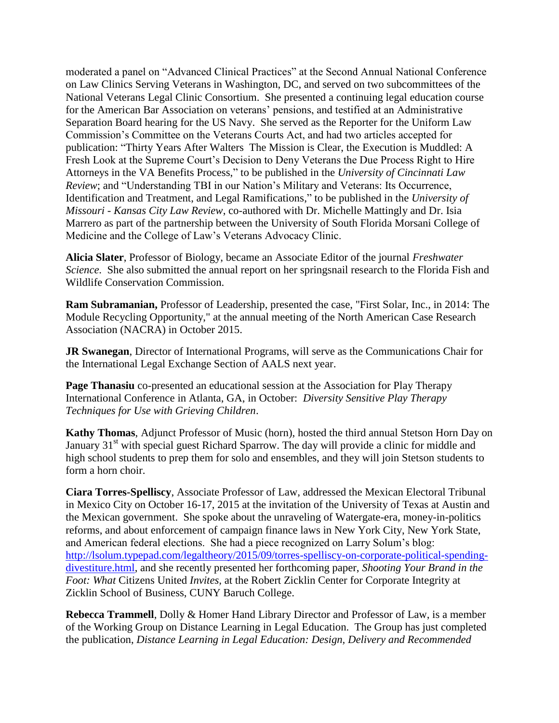moderated a panel on "Advanced Clinical Practices" at the Second Annual National Conference on Law Clinics Serving Veterans in Washington, DC, and served on two subcommittees of the National Veterans Legal Clinic Consortium. She presented a continuing legal education course for the American Bar Association on veterans' pensions, and testified at an Administrative Separation Board hearing for the US Navy. She served as the Reporter for the Uniform Law Commission's Committee on the Veterans Courts Act, and had two articles accepted for publication: "Thirty Years After Walters The Mission is Clear, the Execution is Muddled: A Fresh Look at the Supreme Court's Decision to Deny Veterans the Due Process Right to Hire Attorneys in the VA Benefits Process," to be published in the *University of Cincinnati Law Review*; and "Understanding TBI in our Nation's Military and Veterans: Its Occurrence, Identification and Treatment, and Legal Ramifications," to be published in the *University of Missouri - Kansas City Law Review*, co-authored with Dr. Michelle Mattingly and Dr. Isia Marrero as part of the partnership between the University of South Florida Morsani College of Medicine and the College of Law's Veterans Advocacy Clinic.

**Alicia Slater**, Professor of Biology, became an Associate Editor of the journal *Freshwater Science*. She also submitted the annual report on her springsnail research to the Florida Fish and Wildlife Conservation Commission.

**Ram Subramanian,** Professor of Leadership, presented the case, "First Solar, Inc., in 2014: The Module Recycling Opportunity," at the annual meeting of the North American Case Research Association (NACRA) in October 2015.

**JR Swanegan**, Director of International Programs, will serve as the Communications Chair for the International Legal Exchange Section of AALS next year.

**Page Thanasiu** co-presented an educational session at the Association for Play Therapy International Conference in Atlanta, GA, in October: *Diversity Sensitive Play Therapy Techniques for Use with Grieving Children*.

**Kathy Thomas**, Adjunct Professor of Music (horn), hosted the third annual Stetson Horn Day on January 31<sup>st</sup> with special guest Richard Sparrow. The day will provide a clinic for middle and high school students to prep them for solo and ensembles, and they will join Stetson students to form a horn choir.

**Ciara Torres-Spelliscy**, Associate Professor of Law, addressed the Mexican Electoral Tribunal in Mexico City on October 16-17, 2015 at the invitation of the University of Texas at Austin and the Mexican government. She spoke about the unraveling of Watergate-era, money-in-politics reforms, and about enforcement of campaign finance laws in New York City, New York State, and American federal elections. She had a piece recognized on Larry Solum's blog: [http://lsolum.typepad.com/legaltheory/2015/09/torres-spelliscy-on-corporate-political-spending](http://lsolum.typepad.com/legaltheory/2015/09/torres-spelliscy-on-corporate-political-spending-divestiture.html)[divestiture.html,](http://lsolum.typepad.com/legaltheory/2015/09/torres-spelliscy-on-corporate-political-spending-divestiture.html) and she recently presented her forthcoming paper, *Shooting Your Brand in the Foot: What* Citizens United *Invites,* at the Robert Zicklin Center for Corporate Integrity at Zicklin School of Business, CUNY Baruch College.

**Rebecca Trammell**, Dolly & Homer Hand Library Director and Professor of Law, is a member of the Working Group on Distance Learning in Legal Education. The Group has just completed the publication, *Distance Learning in Legal Education: Design, Delivery and Recommended*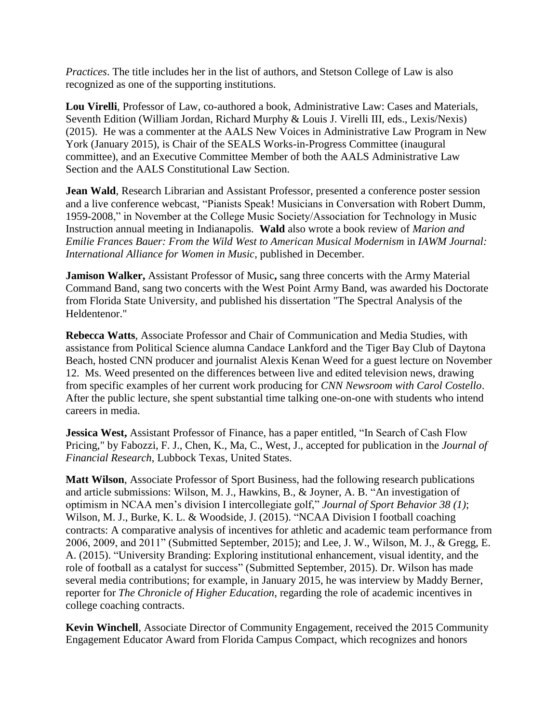*Practices*. The title includes her in the list of authors, and Stetson College of Law is also recognized as one of the supporting institutions.

**Lou Virelli**, Professor of Law, co-authored a book, Administrative Law: Cases and Materials, Seventh Edition (William Jordan, Richard Murphy & Louis J. Virelli III, eds., Lexis/Nexis) (2015). He was a commenter at the AALS New Voices in Administrative Law Program in New York (January 2015), is Chair of the SEALS Works-in-Progress Committee (inaugural committee), and an Executive Committee Member of both the AALS Administrative Law Section and the AALS Constitutional Law Section.

**Jean Wald**, Research Librarian and Assistant Professor, presented a conference poster session and a live conference webcast, "Pianists Speak! Musicians in Conversation with Robert Dumm, 1959-2008," in November at the College Music Society/Association for Technology in Music Instruction annual meeting in Indianapolis. **Wald** also wrote a book review of *Marion and Emilie Frances Bauer: From the Wild West to American Musical Modernism* in *IAWM Journal: International Alliance for Women in Music*, published in December.

**Jamison Walker,** Assistant Professor of Music**,** sang three concerts with the Army Material Command Band, sang two concerts with the West Point Army Band, was awarded his Doctorate from Florida State University, and published his dissertation "The Spectral Analysis of the Heldentenor."

**Rebecca Watts**, Associate Professor and Chair of Communication and Media Studies, with assistance from Political Science alumna Candace Lankford and the Tiger Bay Club of Daytona Beach, hosted CNN producer and journalist Alexis Kenan Weed for a guest lecture on November 12. Ms. Weed presented on the differences between live and edited television news, drawing from specific examples of her current work producing for *CNN Newsroom with Carol Costello*. After the public lecture, she spent substantial time talking one-on-one with students who intend careers in media.

**Jessica West,** Assistant Professor of Finance, has a paper entitled, "In Search of Cash Flow Pricing," by Fabozzi, F. J., Chen, K., Ma, C., West, J., accepted for publication in the *Journal of Financial Research*, Lubbock Texas, United States.

**Matt Wilson**, Associate Professor of Sport Business, had the following research publications and article submissions: Wilson, M. J., Hawkins, B., & Joyner, A. B. "An investigation of optimism in NCAA men's division I intercollegiate golf," *Journal of Sport Behavior 38 (1)*; Wilson, M. J., Burke, K. L. & Woodside, J. (2015). "NCAA Division I football coaching contracts: A comparative analysis of incentives for athletic and academic team performance from 2006, 2009, and 2011" (Submitted September, 2015); and Lee, J. W., Wilson, M. J., & Gregg, E. A. (2015). "University Branding: Exploring institutional enhancement, visual identity, and the role of football as a catalyst for success" (Submitted September, 2015). Dr. Wilson has made several media contributions; for example, in January 2015, he was interview by Maddy Berner, reporter for *The Chronicle of Higher Education*, regarding the role of academic incentives in college coaching contracts.

**Kevin Winchell**, Associate Director of Community Engagement, received the 2015 Community Engagement Educator Award from Florida Campus Compact, which recognizes and honors